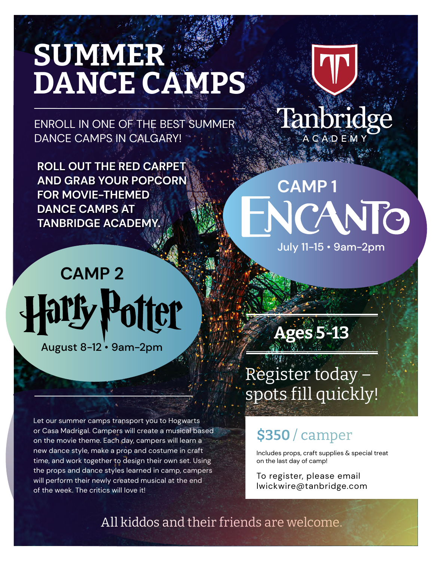### SUMMER DANCE CAMPS

ENROLL IN ONE OF THE BEST SUMMER DANCE CAMPS IN CALGARY!

**ROLL OUT THE RED CARPET AND GRAB YOUR POPCORN FOR MOVIE-THEMED DANCE CAMPS AT TANBRIDGE ACADEMY.**

# **CAMP 2** er

August 8-12 • 9am-2pm

Let our summer camps transport you to Hogwarts or Casa Madrigal. Campers will create a musical based on the movie theme. Each day, campers will learn a new dance style, make a prop and costume in craft time, and work together to design their own set. Using the props and dance styles learned in camp, campers will perform their newly created musical at the end of the week. The critics will love it!



## **CAMP 1** NIO

July 11-15 • 9am-2pm

Ages 5-13

Register today – spots fill quickly!

#### \$350 / camper

Includes props, craft supplies & special treat on the last day of camp!

To register, please email lwickwire@tanbridge.com

All kiddos and their friends are welcome.